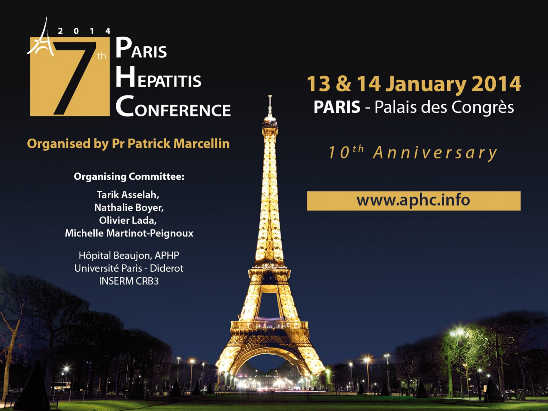

#### **Organised by Pr Patrick Marcellin**

#### **Organising Committee:**

Tarik Asselah, Nathalie Boyer, Olivier Lada, **Michelle Martinot-Peignoux** 

Hôpital Beaujon, APHP Université Paris - Diderot **INSERM CRB3** 

### **13 & 14 January 2014** PARIS - Palais des Congrès

10<sup>th</sup> Anniversary

#### www.aphc.info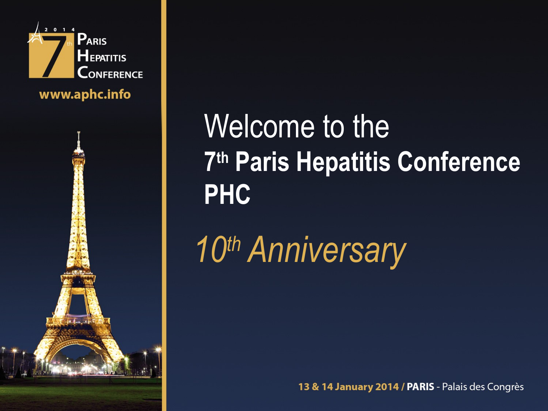

www.aphc.info



# Welcome to the **7 th Paris Hepatitis Conference PHC**

*10th Anniversary*

13 & 14 January 2014 / PARIS - Palais des Congrès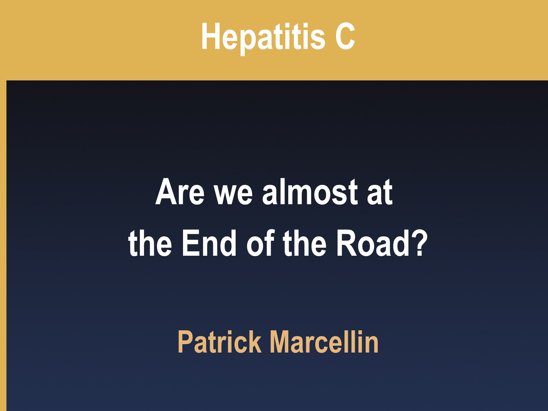# **Hepatitis C**

# **Are we almost at the End of the Road?**

**Patrick Marcellin**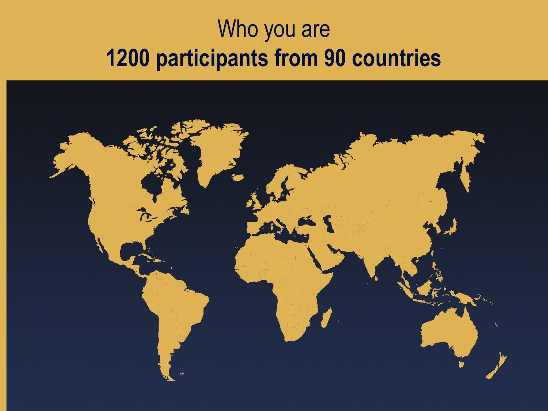### Who you are **1200 participants from 90 countries**

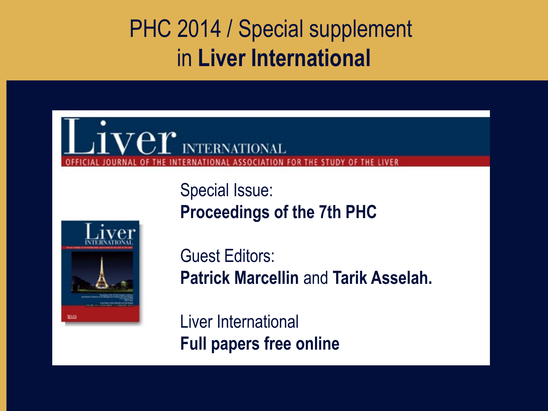### PHC 2014 / Special supplement in **Liver International**

### $\mathbf{V}\mathbf{e}\mathbf{r}$  international **FOR THE STUDY OF THE LIVER**

Special Issue: **Proceedings of the 7th PHC**



Guest Editors: **Patrick Marcellin** and **Tarik Asselah.** 

Liver International **Full papers free online**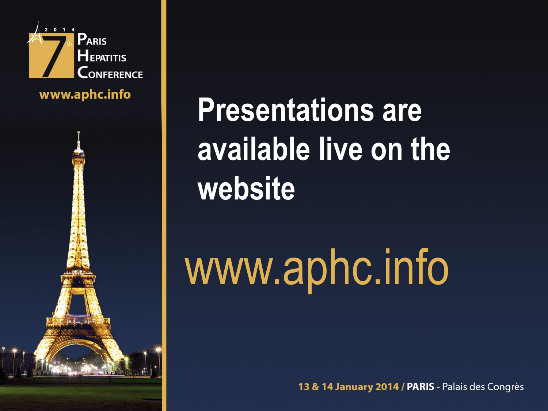

www.aphc.info



**Presentations are available live on the website**

www.aphc.info

13 & 14 January 2014 / PARIS - Palais des Congrès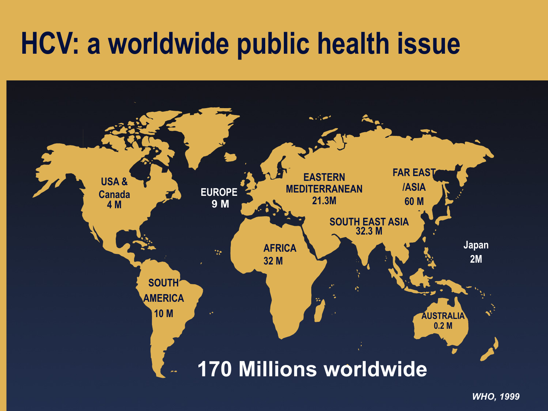### **HCV: a worldwide public health issue**



*WHO, 1999*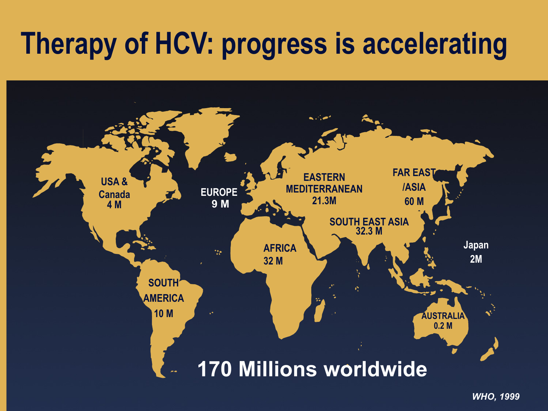# **Therapy of HCV: progress is accelerating**



*WHO, 1999*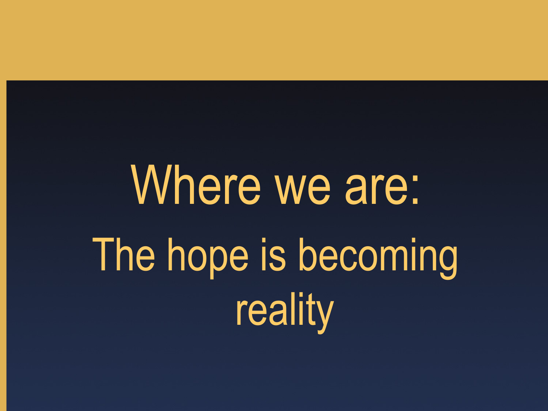# Where we are: The hope is becoming reality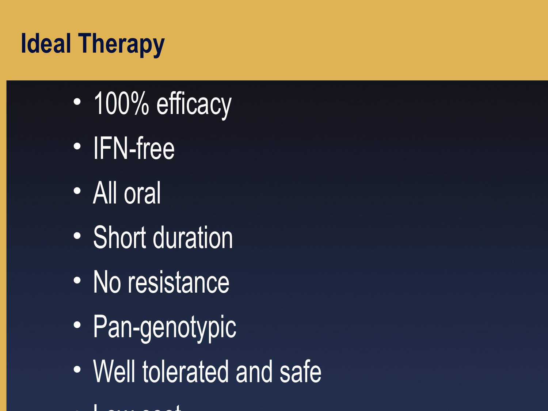### **Ideal Therapy**

- 100% efficacy
- IFN-free
- All oral
- Short duration
- No resistance
- Pan-genotypic
- Well tolerated and safe
- Low cost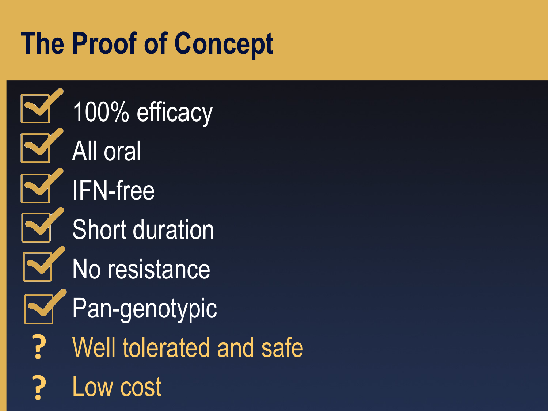# **The Proof of Concept**

100% efficacy All oral IFN-free Short duration No resistance Pan-genotypic Well tolerated and safe Low cost **? ?**